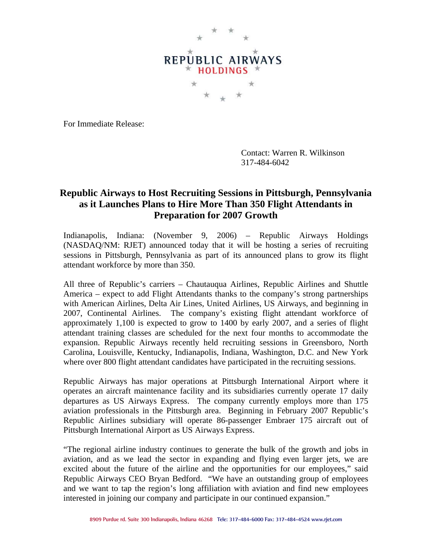

For Immediate Release:

Contact: Warren R. Wilkinson 317-484-6042

## **Republic Airways to Host Recruiting Sessions in Pittsburgh, Pennsylvania as it Launches Plans to Hire More Than 350 Flight Attendants in Preparation for 2007 Growth**

Indianapolis, Indiana: (November 9, 2006) – Republic Airways Holdings (NASDAQ/NM: RJET) announced today that it will be hosting a series of recruiting sessions in Pittsburgh, Pennsylvania as part of its announced plans to grow its flight attendant workforce by more than 350.

All three of Republic's carriers – Chautauqua Airlines, Republic Airlines and Shuttle America – expect to add Flight Attendants thanks to the company's strong partnerships with American Airlines, Delta Air Lines, United Airlines, US Airways, and beginning in 2007, Continental Airlines. The company's existing flight attendant workforce of approximately 1,100 is expected to grow to 1400 by early 2007, and a series of flight attendant training classes are scheduled for the next four months to accommodate the expansion. Republic Airways recently held recruiting sessions in Greensboro, North Carolina, Louisville, Kentucky, Indianapolis, Indiana, Washington, D.C. and New York where over 800 flight attendant candidates have participated in the recruiting sessions.

Republic Airways has major operations at Pittsburgh International Airport where it operates an aircraft maintenance facility and its subsidiaries currently operate 17 daily departures as US Airways Express. The company currently employs more than 175 aviation professionals in the Pittsburgh area. Beginning in February 2007 Republic's Republic Airlines subsidiary will operate 86-passenger Embraer 175 aircraft out of Pittsburgh International Airport as US Airways Express.

"The regional airline industry continues to generate the bulk of the growth and jobs in aviation, and as we lead the sector in expanding and flying even larger jets, we are excited about the future of the airline and the opportunities for our employees," said Republic Airways CEO Bryan Bedford. "We have an outstanding group of employees and we want to tap the region's long affiliation with aviation and find new employees interested in joining our company and participate in our continued expansion."